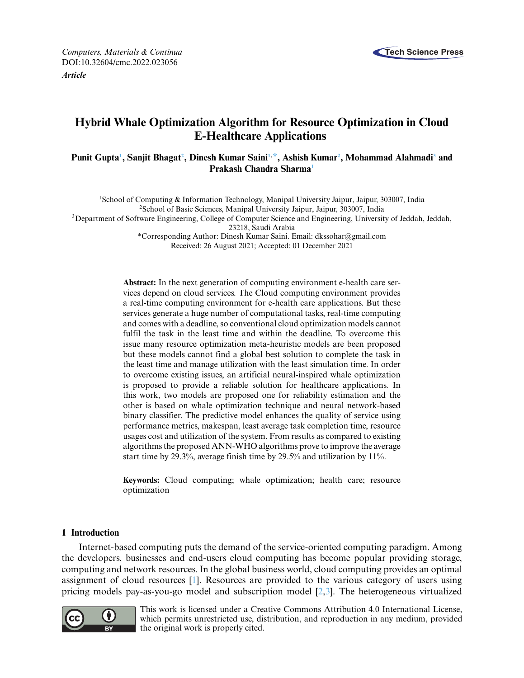

# **Hybrid Whale Optimization Algorithm for Resource Optimization in Cloud E-Healthcare Applications**

# **Punit Gupt[a1](#page-0-0) , Sanjit Bhaga[t2](#page-0-1) , Dinesh Kumar Sain[i1,](#page-0-0) [\\*,](#page-0-2) Ashish Kuma[r2](#page-0-1) , Mohammad Alahmad[i3](#page-0-1) and Prakash Chandra Sharm[a1](#page-0-0)**

<span id="page-0-0"></span>1School of Computing & Information Technology, Manipal University Jaipur, Jaipur, 303007, India 2School of Basic Sciences, Manipal University Jaipur, Jaipur, 303007, India <sup>3</sup>Department of Software Engineering, College of Computer Science and Engineering, University of Jeddah, Jeddah, 23218, Saudi Arabia \*Corresponding Author: Dinesh Kumar Saini. Email: [dkssohar@gmail.com](mailto:dkssohar@gmail.com) Received: 26 August 2021; Accepted: 01 December 2021

> <span id="page-0-2"></span><span id="page-0-1"></span>**Abstract:** In the next generation of computing environment e-health care services depend on cloud services. The Cloud computing environment provides a real-time computing environment for e-health care applications. But these services generate a huge number of computational tasks, real-time computing and comes with a deadline, so conventional cloud optimization models cannot fulfil the task in the least time and within the deadline. To overcome this issue many resource optimization meta-heuristic models are been proposed but these models cannot find a global best solution to complete the task in the least time and manage utilization with the least simulation time. In order to overcome existing issues, an artificial neural-inspired whale optimization is proposed to provide a reliable solution for healthcare applications. In this work, two models are proposed one for reliability estimation and the other is based on whale optimization technique and neural network-based binary classifier. The predictive model enhances the quality of service using performance metrics, makespan, least average task completion time, resource usages cost and utilization of the system. From results as compared to existing algorithms the proposed ANN-WHO algorithms prove to improve the average start time by 29.3%, average finish time by 29.5% and utilization by 11%.

> **Keywords:** Cloud computing; whale optimization; health care; resource optimization

# **1 Introduction**

Internet-based computing puts the demand of the service-oriented computing paradigm. Among the developers, businesses and end-users cloud computing has become popular providing storage, computing and network resources. In the global business world, cloud computing provides an optimal assignment of cloud resources [\[1\]](#page-15-0). Resources are provided to the various category of users using pricing models pay-as-you-go model and subscription model [\[2](#page-15-1)[,3\]](#page-15-2). The heterogeneous virtualized



This work is licensed under a Creative Commons Attribution 4.0 International License, which permits unrestricted use, distribution, and reproduction in any medium, provided the original work is properly cited.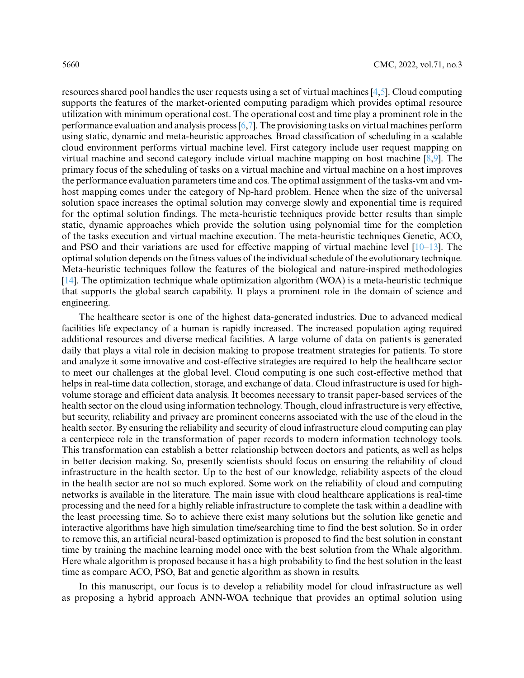resources shared pool handles the user requests using a set of virtual machines [\[4](#page-15-3)[,5\]](#page-15-4). Cloud computing supports the features of the market-oriented computing paradigm which provides optimal resource utilization with minimum operational cost. The operational cost and time play a prominent role in the performance evaluation and analysis process [\[6,](#page-15-5)[7\]](#page-16-0). The provisioning tasks on virtual machines perform using static, dynamic and meta-heuristic approaches. Broad classification of scheduling in a scalable cloud environment performs virtual machine level. First category include user request mapping on virtual machine and second category include virtual machine mapping on host machine [\[8](#page-16-1)[,9\]](#page-16-2). The primary focus of the scheduling of tasks on a virtual machine and virtual machine on a host improves the performance evaluation parameters time and cos. The optimal assignment of the tasks-vm and vmhost mapping comes under the category of Np-hard problem. Hence when the size of the universal solution space increases the optimal solution may converge slowly and exponential time is required for the optimal solution findings. The meta-heuristic techniques provide better results than simple static, dynamic approaches which provide the solution using polynomial time for the completion of the tasks execution and virtual machine execution. The meta-heuristic techniques Genetic, ACO, and PSO and their variations are used for effective mapping of virtual machine level  $[10-13]$  $[10-13]$ . The optimal solution depends on the fitness values of the individual schedule of the evolutionary technique. Meta-heuristic techniques follow the features of the biological and nature-inspired methodologies [\[14\]](#page-16-5). The optimization technique whale optimization algorithm (WOA) is a meta-heuristic technique that supports the global search capability. It plays a prominent role in the domain of science and engineering.

The healthcare sector is one of the highest data-generated industries. Due to advanced medical facilities life expectancy of a human is rapidly increased. The increased population aging required additional resources and diverse medical facilities. A large volume of data on patients is generated daily that plays a vital role in decision making to propose treatment strategies for patients. To store and analyze it some innovative and cost-effective strategies are required to help the healthcare sector to meet our challenges at the global level. Cloud computing is one such cost-effective method that helps in real-time data collection, storage, and exchange of data. Cloud infrastructure is used for highvolume storage and efficient data analysis. It becomes necessary to transit paper-based services of the health sector on the cloud using information technology. Though, cloud infrastructure is very effective, but security, reliability and privacy are prominent concerns associated with the use of the cloud in the health sector. By ensuring the reliability and security of cloud infrastructure cloud computing can play a centerpiece role in the transformation of paper records to modern information technology tools. This transformation can establish a better relationship between doctors and patients, as well as helps in better decision making. So, presently scientists should focus on ensuring the reliability of cloud infrastructure in the health sector. Up to the best of our knowledge, reliability aspects of the cloud in the health sector are not so much explored. Some work on the reliability of cloud and computing networks is available in the literature. The main issue with cloud healthcare applications is real-time processing and the need for a highly reliable infrastructure to complete the task within a deadline with the least processing time. So to achieve there exist many solutions but the solution like genetic and interactive algorithms have high simulation time/searching time to find the best solution. So in order to remove this, an artificial neural-based optimization is proposed to find the best solution in constant time by training the machine learning model once with the best solution from the Whale algorithm. Here whale algorithm is proposed because it has a high probability to find the best solution in the least time as compare ACO, PSO, Bat and genetic algorithm as shown in results.

In this manuscript, our focus is to develop a reliability model for cloud infrastructure as well as proposing a hybrid approach ANN-WOA technique that provides an optimal solution using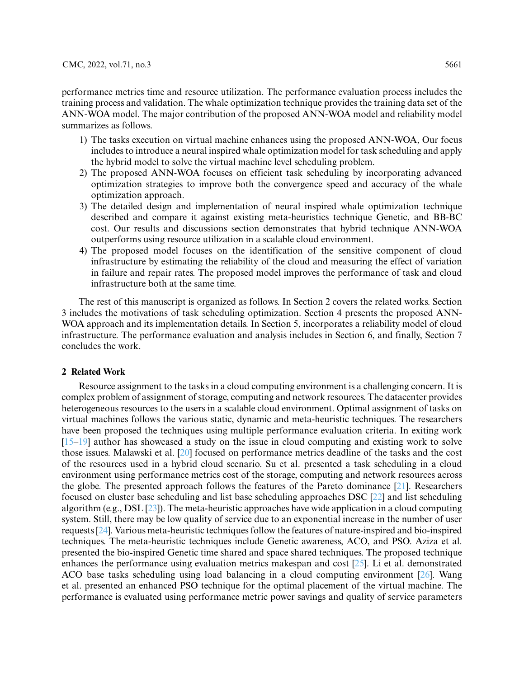performance metrics time and resource utilization. The performance evaluation process includes the training process and validation. The whale optimization technique provides the training data set of the ANN-WOA model. The major contribution of the proposed ANN-WOA model and reliability model summarizes as follows.

- 1) The tasks execution on virtual machine enhances using the proposed ANN-WOA, Our focus includes to introduce a neural inspired whale optimization model for task scheduling and apply the hybrid model to solve the virtual machine level scheduling problem.
- 2) The proposed ANN-WOA focuses on efficient task scheduling by incorporating advanced optimization strategies to improve both the convergence speed and accuracy of the whale optimization approach.
- 3) The detailed design and implementation of neural inspired whale optimization technique described and compare it against existing meta-heuristics technique Genetic, and BB-BC cost. Our results and discussions section demonstrates that hybrid technique ANN-WOA outperforms using resource utilization in a scalable cloud environment.
- 4) The proposed model focuses on the identification of the sensitive component of cloud infrastructure by estimating the reliability of the cloud and measuring the effect of variation in failure and repair rates. The proposed model improves the performance of task and cloud infrastructure both at the same time.

The rest of this manuscript is organized as follows. In Section 2 covers the related works. Section 3 includes the motivations of task scheduling optimization. Section 4 presents the proposed ANN-WOA approach and its implementation details. In Section 5, incorporates a reliability model of cloud infrastructure. The performance evaluation and analysis includes in Section 6, and finally, Section 7 concludes the work.

#### **2 Related Work**

Resource assignment to the tasks in a cloud computing environment is a challenging concern. It is complex problem of assignment of storage, computing and network resources. The datacenter provides heterogeneous resources to the users in a scalable cloud environment. Optimal assignment of tasks on virtual machines follows the various static, dynamic and meta-heuristic techniques. The researchers have been proposed the techniques using multiple performance evaluation criteria. In exiting work  $[15–19]$  $[15–19]$  author has showcased a study on the issue in cloud computing and existing work to solve those issues. Malawski et al. [\[20\]](#page-16-8) focused on performance metrics deadline of the tasks and the cost of the resources used in a hybrid cloud scenario. Su et al. presented a task scheduling in a cloud environment using performance metrics cost of the storage, computing and network resources across the globe. The presented approach follows the features of the Pareto dominance [\[21\]](#page-16-9). Researchers focused on cluster base scheduling and list base scheduling approaches DSC [\[22\]](#page-16-10) and list scheduling algorithm (e.g., DSL [\[23\]](#page-16-11)). The meta-heuristic approaches have wide application in a cloud computing system. Still, there may be low quality of service due to an exponential increase in the number of user requests [\[24\]](#page-16-12). Various meta-heuristic techniques follow the features of nature-inspired and bio-inspired techniques. The meta-heuristic techniques include Genetic awareness, ACO, and PSO. Aziza et al. presented the bio-inspired Genetic time shared and space shared techniques. The proposed technique enhances the performance using evaluation metrics makespan and cost  $[25]$ . Li et al. demonstrated ACO base tasks scheduling using load balancing in a cloud computing environment [\[26\]](#page-16-14). Wang et al. presented an enhanced PSO technique for the optimal placement of the virtual machine. The performance is evaluated using performance metric power savings and quality of service parameters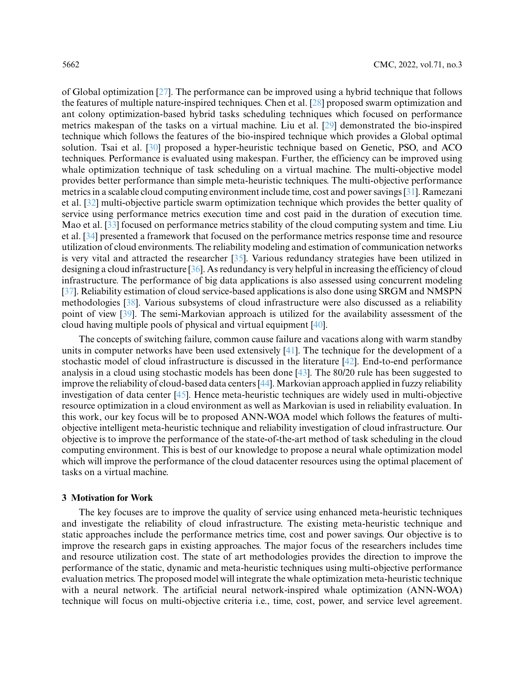of Global optimization [\[27\]](#page-16-15). The performance can be improved using a hybrid technique that follows the features of multiple nature-inspired techniques. Chen et al. [\[28\]](#page-16-16) proposed swarm optimization and ant colony optimization-based hybrid tasks scheduling techniques which focused on performance metrics makespan of the tasks on a virtual machine. Liu et al. [\[29\]](#page-17-0) demonstrated the bio-inspired technique which follows the features of the bio-inspired technique which provides a Global optimal solution. Tsai et al. [\[30\]](#page-17-1) proposed a hyper-heuristic technique based on Genetic, PSO, and ACO techniques. Performance is evaluated using makespan. Further, the efficiency can be improved using whale optimization technique of task scheduling on a virtual machine. The multi-objective model provides better performance than simple meta-heuristic techniques. The multi-objective performance metrics in a scalable cloud computing environment include time, cost and power savings [\[31\]](#page-17-2). Ramezani et al. [\[32\]](#page-17-3) multi-objective particle swarm optimization technique which provides the better quality of service using performance metrics execution time and cost paid in the duration of execution time. Mao et al. [\[33\]](#page-17-4) focused on performance metrics stability of the cloud computing system and time. Liu et al. [\[34\]](#page-17-5) presented a framework that focused on the performance metrics response time and resource utilization of cloud environments. The reliability modeling and estimation of communication networks is very vital and attracted the researcher [\[35\]](#page-17-6). Various redundancy strategies have been utilized in designing a cloud infrastructure [\[36\]](#page-17-7). As redundancy is very helpful in increasing the efficiency of cloud infrastructure. The performance of big data applications is also assessed using concurrent modeling [\[37\]](#page-17-8). Reliability estimation of cloud service-based applications is also done using SRGM and NMSPN methodologies [\[38\]](#page-17-9). Various subsystems of cloud infrastructure were also discussed as a reliability point of view [\[39\]](#page-17-10). The semi-Markovian approach is utilized for the availability assessment of the cloud having multiple pools of physical and virtual equipment [\[40\]](#page-17-11).

The concepts of switching failure, common cause failure and vacations along with warm standby units in computer networks have been used extensively [\[41\]](#page-17-12). The technique for the development of a stochastic model of cloud infrastructure is discussed in the literature [\[42\]](#page-17-13). End-to-end performance analysis in a cloud using stochastic models has been done [\[43\]](#page-17-14). The 80/20 rule has been suggested to improve the reliability of cloud-based data centers [\[44\]](#page-17-15). Markovian approach applied in fuzzy reliability investigation of data center [\[45\]](#page-17-16). Hence meta-heuristic techniques are widely used in multi-objective resource optimization in a cloud environment as well as Markovian is used in reliability evaluation. In this work, our key focus will be to proposed ANN-WOA model which follows the features of multiobjective intelligent meta-heuristic technique and reliability investigation of cloud infrastructure. Our objective is to improve the performance of the state-of-the-art method of task scheduling in the cloud computing environment. This is best of our knowledge to propose a neural whale optimization model which will improve the performance of the cloud datacenter resources using the optimal placement of tasks on a virtual machine.

# **3 Motivation for Work**

The key focuses are to improve the quality of service using enhanced meta-heuristic techniques and investigate the reliability of cloud infrastructure. The existing meta-heuristic technique and static approaches include the performance metrics time, cost and power savings. Our objective is to improve the research gaps in existing approaches. The major focus of the researchers includes time and resource utilization cost. The state of art methodologies provides the direction to improve the performance of the static, dynamic and meta-heuristic techniques using multi-objective performance evaluation metrics. The proposed model will integrate the whale optimization meta-heuristic technique with a neural network. The artificial neural network-inspired whale optimization (ANN-WOA) technique will focus on multi-objective criteria i.e., time, cost, power, and service level agreement.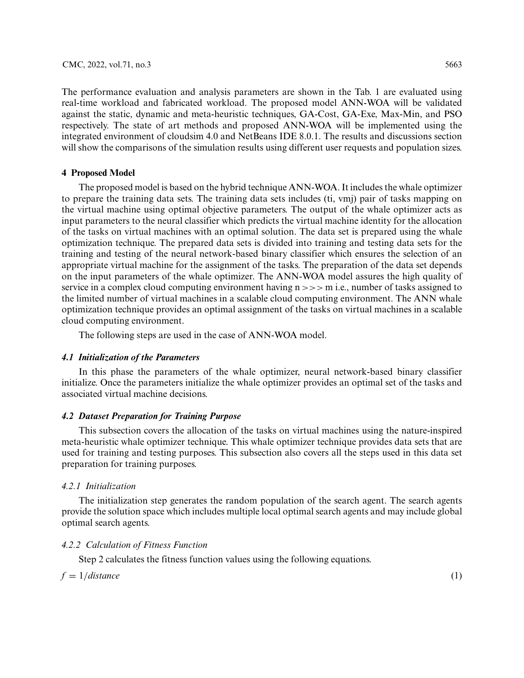The performance evaluation and analysis parameters are shown in the Tab. 1 are evaluated using real-time workload and fabricated workload. The proposed model ANN-WOA will be validated against the static, dynamic and meta-heuristic techniques, GA-Cost, GA-Exe, Max-Min, and PSO respectively. The state of art methods and proposed ANN-WOA will be implemented using the integrated environment of cloudsim 4.0 and NetBeans IDE 8.0.1. The results and discussions section will show the comparisons of the simulation results using different user requests and population sizes.

# **4 Proposed Model**

The proposed model is based on the hybrid technique ANN-WOA. It includes the whale optimizer to prepare the training data sets. The training data sets includes (ti, vmj) pair of tasks mapping on the virtual machine using optimal objective parameters. The output of the whale optimizer acts as input parameters to the neural classifier which predicts the virtual machine identity for the allocation of the tasks on virtual machines with an optimal solution. The data set is prepared using the whale optimization technique. The prepared data sets is divided into training and testing data sets for the training and testing of the neural network-based binary classifier which ensures the selection of an appropriate virtual machine for the assignment of the tasks. The preparation of the data set depends on the input parameters of the whale optimizer. The ANN-WOA model assures the high quality of service in a complex cloud computing environment having n *>>>* m i.e., number of tasks assigned to the limited number of virtual machines in a scalable cloud computing environment. The ANN whale optimization technique provides an optimal assignment of the tasks on virtual machines in a scalable cloud computing environment.

The following steps are used in the case of ANN-WOA model.

## *4.1 Initialization of the Parameters*

In this phase the parameters of the whale optimizer, neural network-based binary classifier initialize. Once the parameters initialize the whale optimizer provides an optimal set of the tasks and associated virtual machine decisions.

## *4.2 Dataset Preparation for Training Purpose*

This subsection covers the allocation of the tasks on virtual machines using the nature-inspired meta-heuristic whale optimizer technique. This whale optimizer technique provides data sets that are used for training and testing purposes. This subsection also covers all the steps used in this data set preparation for training purposes.

# *4.2.1 Initialization*

The initialization step generates the random population of the search agent. The search agents provide the solution space which includes multiple local optimal search agents and may include global optimal search agents.

# *4.2.2 Calculation of Fitness Function*

Step 2 calculates the fitness function values using the following equations.

 $f = 1/distance$  (1)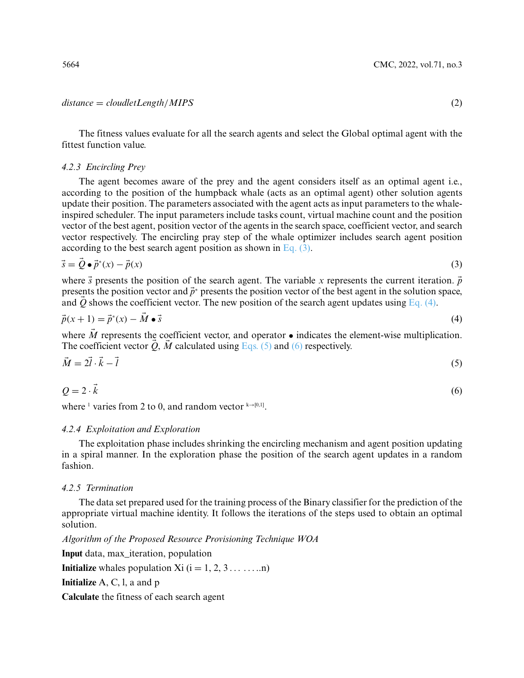#### *distance* = *cloudletLength/MIPS* (2)

The fitness values evaluate for all the search agents and select the Global optimal agent with the fittest function value.

#### *4.2.3 Encircling Prey*

The agent becomes aware of the prey and the agent considers itself as an optimal agent i.e., according to the position of the humpback whale (acts as an optimal agent) other solution agents update their position. The parameters associated with the agent acts as input parameters to the whaleinspired scheduler. The input parameters include tasks count, virtual machine count and the position vector of the best agent, position vector of the agents in the search space, coefficient vector, and search vector respectively. The encircling pray step of the whale optimizer includes search agent position according to the best search agent position as shown in [Eq. \(3\).](#page-5-0)

$$
\vec{s} = \vec{Q} \bullet \vec{p}^*(x) - \vec{p}(x) \tag{3}
$$

where  $\vec{s}$  presents the position of the search agent. The variable *x* represents the current iteration.  $\vec{p}$ presents the position vector and  $\vec{p}^*$  presents the position vector of the best agent in the solution space, and  $Q$  shows the coefficient vector. The new position of the search agent updates using Eq.  $(4)$ .

$$
\vec{p}(x+1) = \vec{p}^*(x) - M \bullet \vec{s} \tag{4}
$$

where *M*-represents the coefficient vector, and operator  $\bullet$  indicates the element-wise multiplication. The coefficient vector  $Q$ ,  $M$  calculated using [Eqs. \(5\)](#page-5-2) and [\(6\)](#page-5-3) respectively.

$$
\vec{M} = 2\vec{l} \cdot \vec{k} - \vec{l} \tag{5}
$$

<span id="page-5-3"></span>
$$
Q = 2 \cdot \vec{k} \tag{6}
$$

where <sup>1</sup> varies from 2 to 0, and random vector  $k \rightarrow [0,1]$ .

## *4.2.4 Exploitation and Exploration*

The exploitation phase includes shrinking the encircling mechanism and agent position updating in a spiral manner. In the exploration phase the position of the search agent updates in a random fashion.

# *4.2.5 Termination*

The data set prepared used for the training process of the Binary classifier for the prediction of the appropriate virtual machine identity. It follows the iterations of the steps used to obtain an optimal solution.

*Algorithm of the Proposed Resource Provisioning Technique WOA*

**Input** data, max\_iteration, population

**Initialize** whales population Xi  $(i = 1, 2, 3, \ldots, n)$ 

**Initialize** A, C, l, a and p

**Calculate** the fitness of each search agent

<span id="page-5-2"></span><span id="page-5-1"></span><span id="page-5-0"></span>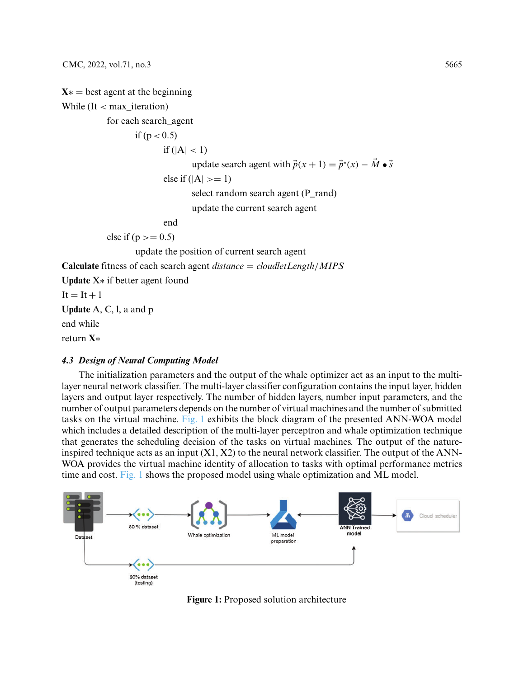```
X* = best agent at the beginning
While (It < max_iteration)
           for each search_agent
                   if (p < 0.5)
                          if (|A| < 1)update search agent with \vec{p}(x+1) = \vec{p}^*(x) - M \bullet \vec{s}else if (|A| \geq 1)select random search agent (P_rand)
                                  update the current search agent
                          end
            else if (p \ge 0.5)update the position of current search agent
Calculate fitness of each search agent distance = cloudletLength/MIPS
Update X∗ if better agent found
It = It + 1Update A, C, l, a and p
```
end while

return **X**∗

# *4.3 Design of Neural Computing Model*

The initialization parameters and the output of the whale optimizer act as an input to the multilayer neural network classifier. The multi-layer classifier configuration contains the input layer, hidden layers and output layer respectively. The number of hidden layers, number input parameters, and the number of output parameters depends on the number of virtual machines and the number of submitted tasks on the virtual machine. [Fig. 1](#page-6-0) exhibits the block diagram of the presented ANN-WOA model which includes a detailed description of the multi-layer perceptron and whale optimization technique that generates the scheduling decision of the tasks on virtual machines. The output of the natureinspired technique acts as an input  $(X1, X2)$  to the neural network classifier. The output of the ANN-WOA provides the virtual machine identity of allocation to tasks with optimal performance metrics time and cost. [Fig. 1](#page-6-0) shows the proposed model using whale optimization and ML model.

<span id="page-6-0"></span>

**Figure 1:** Proposed solution architecture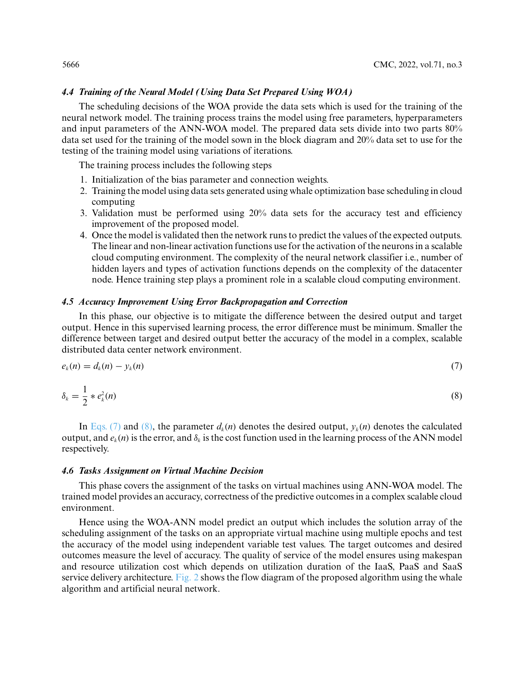# *4.4 Training of the Neural Model (Using Data Set Prepared Using WOA)*

The scheduling decisions of the WOA provide the data sets which is used for the training of the neural network model. The training process trains the model using free parameters, hyperparameters and input parameters of the ANN-WOA model. The prepared data sets divide into two parts 80% data set used for the training of the model sown in the block diagram and 20% data set to use for the testing of the training model using variations of iterations.

The training process includes the following steps

- 1. Initialization of the bias parameter and connection weights.
- 2. Training the model using data sets generated using whale optimization base scheduling in cloud computing
- 3. Validation must be performed using 20% data sets for the accuracy test and efficiency improvement of the proposed model.
- 4. Once the model is validated then the network runs to predict the values of the expected outputs. The linear and non-linear activation functions use for the activation of the neurons in a scalable cloud computing environment. The complexity of the neural network classifier i.e., number of hidden layers and types of activation functions depends on the complexity of the datacenter node. Hence training step plays a prominent role in a scalable cloud computing environment.

## *4.5 Accuracy Improvement Using Error Backpropagation and Correction*

In this phase, our objective is to mitigate the difference between the desired output and target output. Hence in this supervised learning process, the error difference must be minimum. Smaller the difference between target and desired output better the accuracy of the model in a complex, scalable distributed data center network environment.

<span id="page-7-0"></span>
$$
e_k(n) = d_k(n) - y_k(n) \tag{7}
$$

<span id="page-7-1"></span>
$$
\delta_k = \frac{1}{2} * e_k^2(n) \tag{8}
$$

In [Eqs. \(7\)](#page-7-0) and [\(8\),](#page-7-1) the parameter  $d_k(n)$  denotes the desired output,  $y_k(n)$  denotes the calculated output, and  $e_k(n)$  is the error, and  $\delta_k$  is the cost function used in the learning process of the ANN model respectively.

## *4.6 Tasks Assignment on Virtual Machine Decision*

This phase covers the assignment of the tasks on virtual machines using ANN-WOA model. The trained model provides an accuracy, correctness of the predictive outcomes in a complex scalable cloud environment.

Hence using the WOA-ANN model predict an output which includes the solution array of the scheduling assignment of the tasks on an appropriate virtual machine using multiple epochs and test the accuracy of the model using independent variable test values. The target outcomes and desired outcomes measure the level of accuracy. The quality of service of the model ensures using makespan and resource utilization cost which depends on utilization duration of the IaaS, PaaS and SaaS service delivery architecture. [Fig. 2](#page-8-0) shows the flow diagram of the proposed algorithm using the whale algorithm and artificial neural network.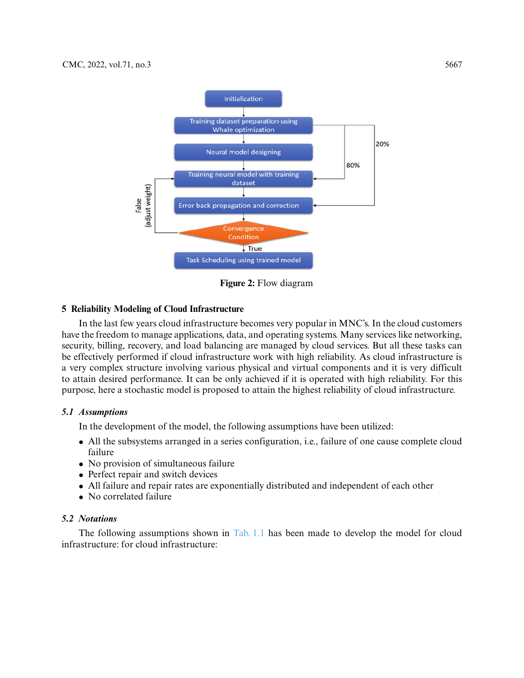

**Figure 2:** Flow diagram

# <span id="page-8-0"></span>**5 Reliability Modeling of Cloud Infrastructure**

In the last few years cloud infrastructure becomes very popular in MNC's. In the cloud customers have the freedom to manage applications, data, and operating systems. Many services like networking, security, billing, recovery, and load balancing are managed by cloud services. But all these tasks can be effectively performed if cloud infrastructure work with high reliability. As cloud infrastructure is a very complex structure involving various physical and virtual components and it is very difficult to attain desired performance. It can be only achieved if it is operated with high reliability. For this purpose, here a stochastic model is proposed to attain the highest reliability of cloud infrastructure.

# *5.1 Assumptions*

In the development of the model, the following assumptions have been utilized:

- All the subsystems arranged in a series configuration, i.e., failure of one cause complete cloud failure
- No provision of simultaneous failure
- Perfect repair and switch devices
- All failure and repair rates are exponentially distributed and independent of each other
- No correlated failure

# *5.2 Notations*

The following assumptions shown in [Tab. 1.1](#page-9-0) has been made to develop the model for cloud infrastructure: for cloud infrastructure: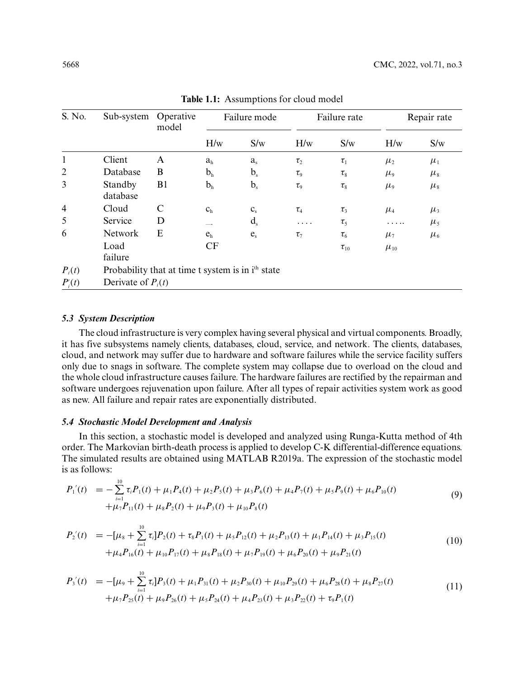<span id="page-9-0"></span>

| S. No.         | Sub-system                                                    | Operative<br>model | Failure mode            |                         | Failure rate                  |             | Repair rate |           |
|----------------|---------------------------------------------------------------|--------------------|-------------------------|-------------------------|-------------------------------|-------------|-------------|-----------|
|                |                                                               |                    | H/w                     | S/w                     | H/w                           | S/w         | H/w         | S/w       |
| $\mathbf{1}$   | Client                                                        | $\mathbf{A}$       | a <sub>h</sub>          | a <sub>s</sub>          | $\tau_{2}$                    | $\tau_1$    | $\mu_{2}$   | $\mu_{1}$ |
| $\overline{2}$ | Database                                                      | B                  | b <sub>h</sub>          | $b_{s}$                 | $\tau_{\rm o}$                | $\tau_{8}$  | $\mu_{9}$   | $\mu_{8}$ |
| 3              | Standby<br>database                                           | B1                 | b <sub>h</sub>          | $b_{\rm s}$             | $\tau_{9}$                    | $\tau_{8}$  | $\mu_{9}$   | $\mu_{8}$ |
| $\overline{4}$ | Cloud                                                         | $\mathbf C$        | C <sub>h</sub>          | $\mathbf{C}_\mathrm{s}$ | $\tau_{\scriptscriptstyle 4}$ | $\tau_3$    | $\mu_{4}$   | $\mu_{3}$ |
| 5              | Service                                                       | D                  |                         | $d_{s}$                 | .                             | $\tau_{5}$  |             | $\mu_{5}$ |
| 6              | Network                                                       | E                  | $\mathbf{e}_\mathrm{h}$ | $e_{s}$                 | $\tau_7$                      | $\tau_{6}$  | $\mu_7$     | $\mu_{6}$ |
|                | Load<br>failure                                               |                    | CF                      |                         |                               | $\tau_{10}$ | $\mu_{10}$  |           |
| $P_i(t)$       | Probability that at time t system is in i <sup>th</sup> state |                    |                         |                         |                               |             |             |           |
| $P_i(t)$       | Derivate of $P_i(t)$                                          |                    |                         |                         |                               |             |             |           |

**Table 1.1:** Assumptions for cloud model

## *5.3 System Description*

The cloud infrastructure is very complex having several physical and virtual components. Broadly, it has five subsystems namely clients, databases, cloud, service, and network. The clients, databases, cloud, and network may suffer due to hardware and software failures while the service facility suffers only due to snags in software. The complete system may collapse due to overload on the cloud and the whole cloud infrastructure causes failure. The hardware failures are rectified by the repairman and software undergoes rejuvenation upon failure. After all types of repair activities system work as good as new. All failure and repair rates are exponentially distributed.

# *5.4 Stochastic Model Development and Analysis*

In this section, a stochastic model is developed and analyzed using Runga-Kutta method of 4th order. The Markovian birth-death process is applied to develop C-K differential-difference equations. The simulated results are obtained using MATLAB R2019a. The expression of the stochastic model is as follows:

<span id="page-9-1"></span>
$$
P'_{1}(t) = -\sum_{i=1}^{10} \tau_{i} P_{1}(t) + \mu_{1} P_{4}(t) + \mu_{2} P_{5}(t) + \mu_{3} P_{6}(t) + \mu_{4} P_{7}(t) + \mu_{5} P_{9}(t) + \mu_{6} P_{10}(t) + \mu_{7} P_{11}(t) + \mu_{8} P_{2}(t) + \mu_{9} P_{3}(t) + \mu_{10} P_{8}(t)
$$
\n(9)

$$
P'_{2}(t) = -[\mu_{8} + \sum_{i=1}^{10} \tau_{i}]P_{2}(t) + \tau_{8}P_{1}(t) + \mu_{5}P_{12}(t) + \mu_{2}P_{13}(t) + \mu_{1}P_{14}(t) + \mu_{3}P_{15}(t) + \mu_{4}P_{16}(t) + \mu_{10}P_{17}(t) + \mu_{8}P_{18}(t) + \mu_{7}P_{19}(t) + \mu_{6}P_{20}(t) + \mu_{9}P_{21}(t)
$$
\n(10)

$$
P_3'(t) = -[\mu_9 + \sum_{i=1}^{10} \tau_i] P_3(t) + \mu_1 P_{31}(t) + \mu_2 P_{30}(t) + \mu_{10} P_{29}(t) + \mu_6 P_{28}(t) + \mu_8 P_{27}(t) + \mu_7 P_{25}(t) + \mu_9 P_{26}(t) + \mu_5 P_{24}(t) + \mu_4 P_{23}(t) + \mu_3 P_{22}(t) + \tau_9 P_{1}(t)
$$
\n(11)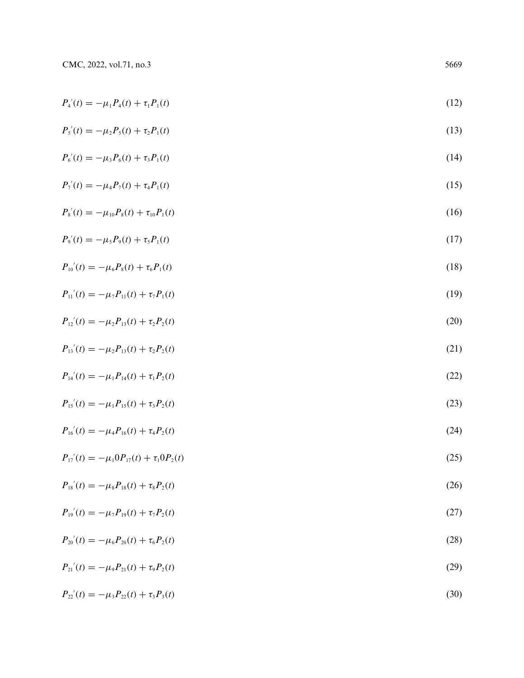$$
P_4(t) = -\mu_1 P_4(t) + \tau_1 P_1(t) \tag{12}
$$

$$
P'_{5}(t) = -\mu_{2}P_{5}(t) + \tau_{2}P_{1}(t)
$$
\n(13)

$$
P_6'(t) = -\mu_3 P_6(t) + \tau_3 P_1(t) \tag{14}
$$

$$
P_7(t) = -\mu_4 P_7(t) + \tau_4 P_1(t) \tag{15}
$$

$$
P_s'(t) = -\mu_{10} P_s(t) + \tau_{10} P_1(t) \tag{16}
$$

$$
P_9'(t) = -\mu_5 P_9(t) + \tau_5 P_1(t) \tag{17}
$$

$$
P_{10}'(t) = -\mu_6 P_8(t) + \tau_6 P_1(t) \tag{18}
$$

$$
P_{11}'(t) = -\mu_7 P_{11}(t) + \tau_7 P_{1}(t) \tag{19}
$$

$$
P_{12}'(t) = -\mu_2 P_{13}(t) + \tau_2 P_2(t) \tag{20}
$$

$$
P_{13}'(t) = -\mu_2 P_{13}(t) + \tau_2 P_2(t) \tag{21}
$$

$$
P_{14}'(t) = -\mu_1 P_{14}(t) + \tau_1 P_2(t) \tag{22}
$$

$$
P_{15}'(t) = -\mu_1 P_{15}(t) + \tau_3 P_2(t) \tag{23}
$$

$$
P_{16}'(t) = -\mu_4 P_{16}(t) + \tau_4 P_2(t) \tag{24}
$$

$$
P_{17}'(t) = -\mu_1 0 P_{17}(t) + \tau_1 0 P_2(t) \tag{25}
$$

$$
P_{18}'(t) = -\mu_8 P_{18}(t) + \tau_8 P_2(t) \tag{26}
$$

$$
P_{19}'(t) = -\mu_7 P_{19}(t) + \tau_7 P_2(t) \tag{27}
$$

$$
P_{20}'(t) = -\mu_6 P_{20}(t) + \tau_6 P_2(t) \tag{28}
$$

$$
P_{21}'(t) = -\mu_9 P_{21}(t) + \tau_9 P_2(t) \tag{29}
$$

$$
P_{22}'(t) = -\mu_3 P_{22}(t) + \tau_3 P_3(t) \tag{30}
$$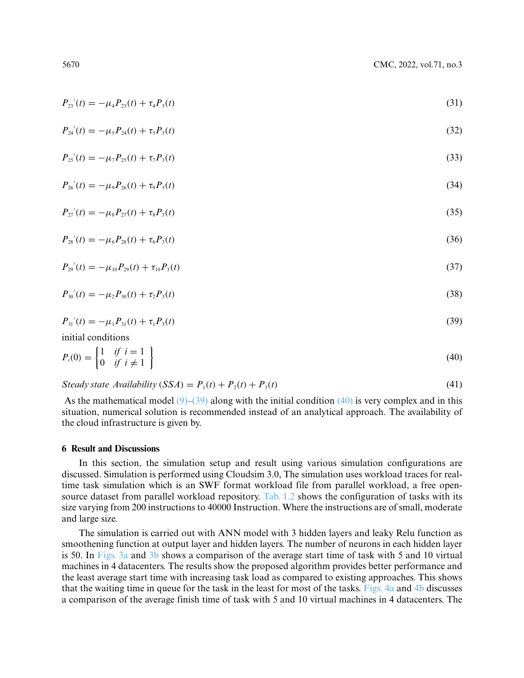$$
P_{23}'(t) = -\mu_4 P_{23}(t) + \tau_4 P_3(t) \tag{31}
$$

$$
P_{24}'(t) = -\mu_5 P_{24}(t) + \tau_5 P_3(t) \tag{32}
$$

$$
P_{25}'(t) = -\mu_7 P_{25}(t) + \tau_7 P_{3}(t) \tag{33}
$$

$$
P_{26}'(t) = -\mu_9 P_{26}(t) + \tau_9 P_3(t) \tag{34}
$$

$$
P_{27}'(t) = -\mu_8 P_{27}(t) + \tau_8 P_3(t) \tag{35}
$$

$$
P_{28}'(t) = -\mu_6 P_{28}(t) + \tau_6 P_3(t) \tag{36}
$$

$$
P_{29}'(t) = -\mu_{10} P_{29}(t) + \tau_{10} P_3(t) \tag{37}
$$

$$
P_{30}'(t) = -\mu_2 P_{30}(t) + \tau_2 P_3(t) \tag{38}
$$

<span id="page-11-0"></span>
$$
P_{31}'(t) = -\mu_1 P_{31}(t) + \tau_1 P_3(t) \tag{39}
$$

initial conditions

<span id="page-11-1"></span>
$$
P_i(0) = \begin{cases} 1 & \text{if } i = 1 \\ 0 & \text{if } i \neq 1 \end{cases}
$$
 (40)

*Steady state Availability*  $(SSA) = P_1(t) + P_2(t) + P_3(t)$  (41)

As the mathematical model  $(9)$ – $(39)$  along with the initial condition  $(40)$  is very complex and in this situation, numerical solution is recommended instead of an analytical approach. The availability of the cloud infrastructure is given by.

## **6 Result and Discussions**

In this section, the simulation setup and result using various simulation configurations are discussed. Simulation is performed using Cloudsim 3.0, The simulation uses workload traces for realtime task simulation which is an SWF format workload file from parallel workload, a free open-source dataset from parallel workload repository. [Tab. 1.2](#page-12-0) shows the configuration of tasks with its size varying from 200 instructions to 40000 Instruction. Where the instructions are of small, moderate and large size.

The simulation is carried out with ANN model with 3 hidden layers and leaky Relu function as smoothening function at output layer and hidden layers. The number of neurons in each hidden layer is 50. In [Figs. 3a](#page-12-1) and [3b](#page-12-1) shows a comparison of the average start time of task with 5 and 10 virtual machines in 4 datacenters. The results show the proposed algorithm provides better performance and the least average start time with increasing task load as compared to existing approaches. This shows that the waiting time in queue for the task in the least for most of the tasks. [Figs. 4a](#page-13-0) and [4b](#page-13-0) discusses a comparison of the average finish time of task with 5 and 10 virtual machines in 4 datacenters. The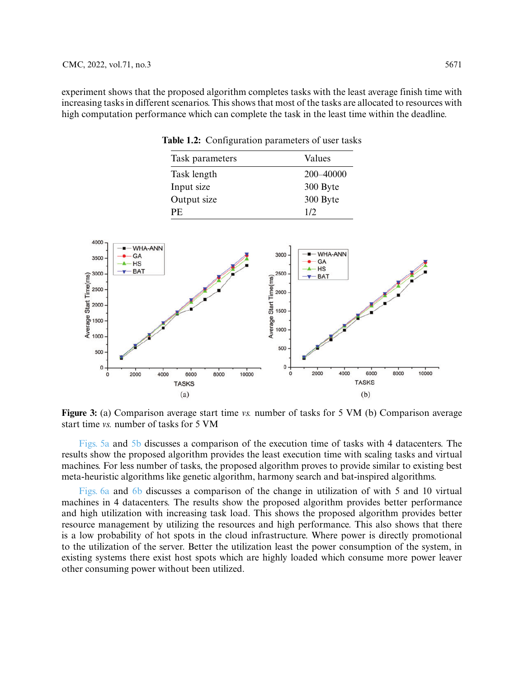experiment shows that the proposed algorithm completes tasks with the least average finish time with increasing tasks in different scenarios. This shows that most of the tasks are allocated to resources with high computation performance which can complete the task in the least time within the deadline.

<span id="page-12-0"></span>

|                                                                                   |                                | Task length                |                                                                | 200-40000                            |                       |
|-----------------------------------------------------------------------------------|--------------------------------|----------------------------|----------------------------------------------------------------|--------------------------------------|-----------------------|
|                                                                                   |                                | Input size                 |                                                                | 300 Byte                             |                       |
|                                                                                   |                                | Output size                |                                                                | 300 Byte                             |                       |
|                                                                                   |                                | $\ensuremath{\mathsf{PE}}$ |                                                                | 1/2                                  |                       |
|                                                                                   |                                |                            |                                                                |                                      |                       |
| 4000                                                                              |                                |                            |                                                                |                                      |                       |
| $3500 -$                                                                          | $-WHA-ANN$<br>GA               |                            | 3000                                                           | $-WHA-ANN$<br>$-GA$                  |                       |
|                                                                                   | <b>HS</b><br>$ -$ BAT          |                            |                                                                | $A - HS$<br>$\blacktriangledown$ BAT |                       |
| Average Start Time(ms)<br>$\frac{300}{20}$<br>$\frac{20}{20}$<br>$\frac{300}{20}$ |                                |                            | Average Start Time(ms)<br>Nerage Start Time(ms)<br>1500<br>000 |                                      |                       |
|                                                                                   |                                |                            |                                                                |                                      |                       |
|                                                                                   |                                |                            |                                                                |                                      |                       |
|                                                                                   |                                |                            |                                                                |                                      |                       |
|                                                                                   |                                |                            |                                                                |                                      |                       |
| 500.                                                                              |                                |                            | $500 -$                                                        |                                      |                       |
| $0 +$                                                                             | 4000<br>2000<br>$\overline{0}$ | 8000<br>6000<br>10000      | $0 -$<br>$\mathbf 0$                                           | 4000<br>2000                         | 6000<br>8000<br>10000 |
|                                                                                   |                                | <b>TASKS</b>               |                                                                |                                      | <b>TASKS</b>          |
|                                                                                   |                                | (a)                        |                                                                |                                      | (b)                   |
|                                                                                   |                                |                            |                                                                |                                      |                       |

**Table 1.2:** Configuration parameters of user tasks

Task parameters Values

<span id="page-12-1"></span>**Figure 3:** (a) Comparison average start time *vs.* number of tasks for 5 VM (b) Comparison average start time *vs.* number of tasks for 5 VM

[Figs. 5a](#page-13-1) and [5b](#page-13-1) discusses a comparison of the execution time of tasks with 4 datacenters. The results show the proposed algorithm provides the least execution time with scaling tasks and virtual machines. For less number of tasks, the proposed algorithm proves to provide similar to existing best meta-heuristic algorithms like genetic algorithm, harmony search and bat-inspired algorithms.

[Figs. 6a](#page-14-0) and [6b](#page-14-0) discusses a comparison of the change in utilization of with 5 and 10 virtual machines in 4 datacenters. The results show the proposed algorithm provides better performance and high utilization with increasing task load. This shows the proposed algorithm provides better resource management by utilizing the resources and high performance. This also shows that there is a low probability of hot spots in the cloud infrastructure. Where power is directly promotional to the utilization of the server. Better the utilization least the power consumption of the system, in existing systems there exist host spots which are highly loaded which consume more power leaver other consuming power without been utilized.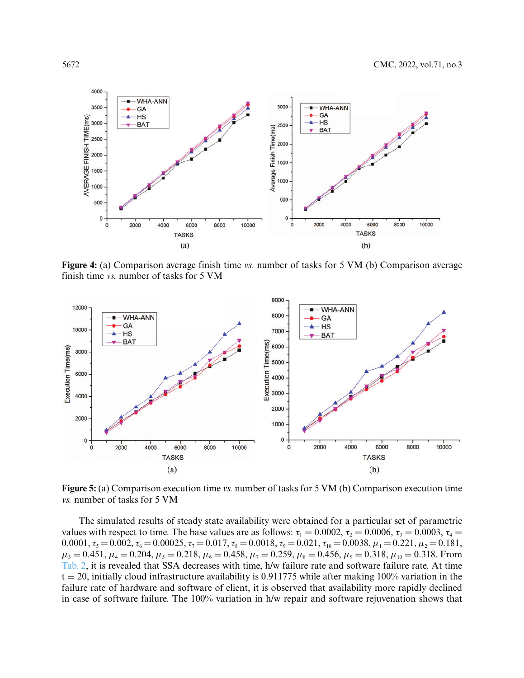

<span id="page-13-0"></span>**Figure 4:** (a) Comparison average finish time *vs.* number of tasks for 5 VM (b) Comparison average finish time *vs.* number of tasks for 5 VM



<span id="page-13-1"></span>**Figure 5:** (a) Comparison execution time *vs.* number of tasks for 5 VM (b) Comparison execution time *vs.* number of tasks for 5 VM

The simulated results of steady state availability were obtained for a particular set of parametric values with respect to time. The base values are as follows:  $\tau_1 = 0.0002$ ,  $\tau_2 = 0.0006$ ,  $\tau_3 = 0.0003$ ,  $\tau_4 =$  $0.0001, \tau_5 = 0.002, \tau_6 = 0.00025, \tau_7 = 0.017, \tau_8 = 0.0018, \tau_9 = 0.021, \tau_{10} = 0.0038, \mu_1 = 0.221, \mu_2 = 0.181,$  $\mu_3 = 0.451, \mu_4 = 0.204, \mu_5 = 0.218, \mu_6 = 0.458, \mu_7 = 0.259, \mu_8 = 0.456, \mu_9 = 0.318, \mu_{10} = 0.318$ . From Tab. 2, it is revealed that SSA decreases with time, h/w failure rate and software failure rate. At time  $t = 20$ , initially cloud infrastructure availability is 0.911775 while after making 100% variation in the failure rate of hardware and software of client, it is observed that availability more rapidly declined in case of software failure. The 100% variation in h/w repair and software rejuvenation shows that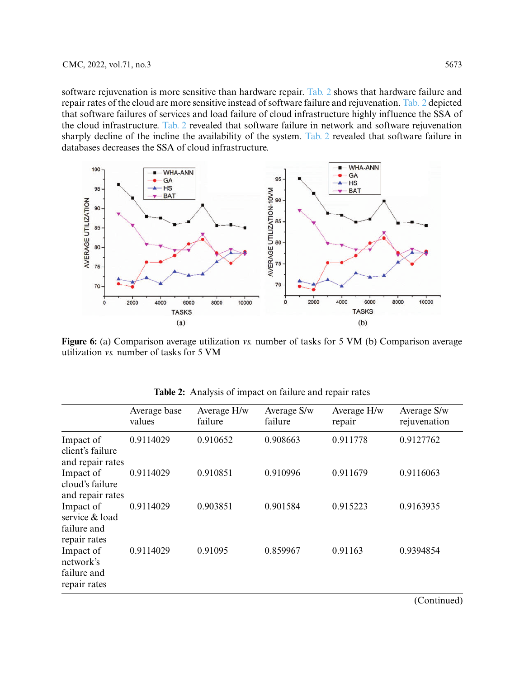software rejuvenation is more sensitive than hardware repair. Tab. 2 shows that hardware failure and repair rates of the cloud are more sensitive instead of software failure and rejuvenation. Tab. 2 depicted that software failures of services and load failure of cloud infrastructure highly influence the SSA of the cloud infrastructure. Tab. 2 revealed that software failure in network and software rejuvenation sharply decline of the incline the availability of the system. Tab. 2 revealed that software failure in databases decreases the SSA of cloud infrastructure.



<span id="page-14-0"></span>**Figure 6:** (a) Comparison average utilization *vs.* number of tasks for 5 VM (b) Comparison average utilization *vs.* number of tasks for 5 VM

|                                                            | Average base<br>values | Average H/w<br>failure | Average S/w<br>failure | Average H/w<br>repair | Average S/w<br>rejuvenation |
|------------------------------------------------------------|------------------------|------------------------|------------------------|-----------------------|-----------------------------|
| Impact of<br>client's failure<br>and repair rates          | 0.9114029              | 0.910652               | 0.908663               | 0.911778              | 0.9127762                   |
| Impact of<br>cloud's failure<br>and repair rates           | 0.9114029              | 0.910851               | 0.910996               | 0.911679              | 0.9116063                   |
| Impact of<br>service & load<br>failure and<br>repair rates | 0.9114029              | 0.903851               | 0.901584               | 0.915223              | 0.9163935                   |
| Impact of<br>network's<br>failure and<br>repair rates      | 0.9114029              | 0.91095                | 0.859967               | 0.91163               | 0.9394854                   |

**Table 2:** Analysis of impact on failure and repair rates

(Continued)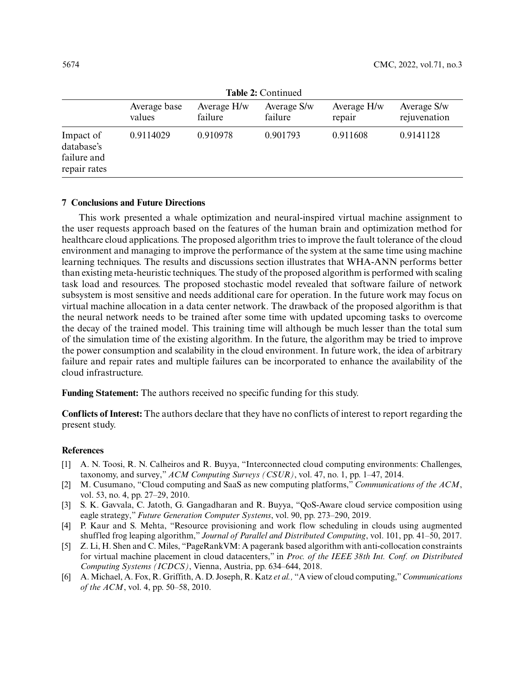| Table 2: Continued                                     |                        |                        |                        |                       |                             |  |  |
|--------------------------------------------------------|------------------------|------------------------|------------------------|-----------------------|-----------------------------|--|--|
|                                                        | Average base<br>values | Average H/w<br>failure | Average S/w<br>failure | Average H/w<br>repair | Average S/w<br>rejuvenation |  |  |
| Impact of<br>database's<br>failure and<br>repair rates | 0.9114029              | 0.910978               | 0.901793               | 0.911608              | 0.9141128                   |  |  |

**Table 2:** Continued

# **7 Conclusions and Future Directions**

This work presented a whale optimization and neural-inspired virtual machine assignment to the user requests approach based on the features of the human brain and optimization method for healthcare cloud applications. The proposed algorithm tries to improve the fault tolerance of the cloud environment and managing to improve the performance of the system at the same time using machine learning techniques. The results and discussions section illustrates that WHA-ANN performs better than existing meta-heuristic techniques. The study of the proposed algorithm is performed with scaling task load and resources. The proposed stochastic model revealed that software failure of network subsystem is most sensitive and needs additional care for operation. In the future work may focus on virtual machine allocation in a data center network. The drawback of the proposed algorithm is that the neural network needs to be trained after some time with updated upcoming tasks to overcome the decay of the trained model. This training time will although be much lesser than the total sum of the simulation time of the existing algorithm. In the future, the algorithm may be tried to improve the power consumption and scalability in the cloud environment. In future work, the idea of arbitrary failure and repair rates and multiple failures can be incorporated to enhance the availability of the cloud infrastructure.

**Funding Statement:** The authors received no specific funding for this study.

**Conflicts of Interest:** The authors declare that they have no conflicts of interest to report regarding the present study.

# **References**

- <span id="page-15-0"></span>[1] A. N. Toosi, R. N. Calheiros and R. Buyya, "Interconnected cloud computing environments: Challenges, taxonomy, and survey," *ACM Computing Surveys (CSUR)*, vol. 47, no. 1, pp. 1–47, 2014.
- <span id="page-15-1"></span>[2] M. Cusumano, "Cloud computing and SaaS as new computing platforms," *Communications of the ACM*, vol. 53, no. 4, pp. 27–29, 2010.
- <span id="page-15-2"></span>[3] S. K. Gavvala, C. Jatoth, G. Gangadharan and R. Buyya, "QoS-Aware cloud service composition using eagle strategy," *Future Generation Computer Systems*, vol. 90, pp. 273–290, 2019.
- <span id="page-15-3"></span>[4] P. Kaur and S. Mehta, "Resource provisioning and work flow scheduling in clouds using augmented shuffled frog leaping algorithm," *Journal of Parallel and Distributed Computing*, vol. 101, pp. 41–50, 2017.
- <span id="page-15-4"></span>[5] Z. Li, H. Shen and C. Miles, "PageRankVM: A pagerank based algorithm with anti-collocation constraints for virtual machine placement in cloud datacenters," in *Proc. of the IEEE 38th Int. Conf. on Distributed Computing Systems (ICDCS)*, Vienna, Austria, pp. 634–644, 2018.
- <span id="page-15-5"></span>[6] A. Michael, A. Fox, R. Griffith, A. D. Joseph, R. Katz *et al.,* "A view of cloud computing,"*Communications of the ACM*, vol. 4, pp. 50–58, 2010.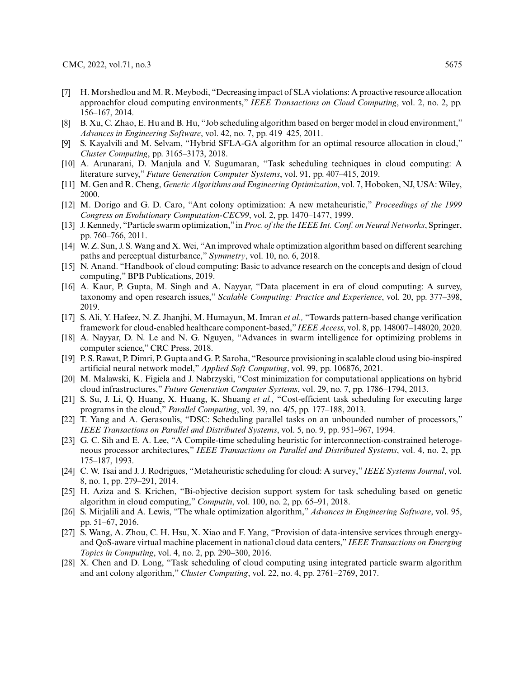- <span id="page-16-0"></span>[7] H. Morshedlou and M. R. Meybodi, "Decreasing impact of SLA violations: A proactive resource allocation approachfor cloud computing environments," *IEEE Transactions on Cloud Computing*, vol. 2, no. 2, pp. 156–167, 2014.
- <span id="page-16-1"></span>[8] B. Xu, C. Zhao, E. Hu and B. Hu, "Job scheduling algorithm based on berger model in cloud environment," *Advances in Engineering Software*, vol. 42, no. 7, pp. 419–425, 2011.
- <span id="page-16-2"></span>[9] S. Kayalvili and M. Selvam, "Hybrid SFLA-GA algorithm for an optimal resource allocation in cloud," *Cluster Computing*, pp. 3165–3173, 2018.
- <span id="page-16-3"></span>[10] A. Arunarani, D. Manjula and V. Sugumaran, "Task scheduling techniques in cloud computing: A literature survey," *Future Generation Computer Systems*, vol. 91, pp. 407–415, 2019.
- [11] M. Gen and R. Cheng, *Genetic Algorithms and Engineering Optimization*, vol. 7, Hoboken, NJ, USA: Wiley, 2000.
- [12] M. Dorigo and G. D. Caro, "Ant colony optimization: A new metaheuristic," *Proceedings of the 1999 Congress on Evolutionary Computation-CEC99*, vol. 2, pp. 1470–1477, 1999.
- <span id="page-16-4"></span>[13] J. Kennedy, "Particle swarm optimization,"in *Proc. of the the IEEE Int. Conf. on Neural Networks*, Springer, pp. 760–766, 2011.
- <span id="page-16-5"></span>[14] W. Z. Sun, J. S. Wang and X. Wei, "An improved whale optimization algorithm based on different searching paths and perceptual disturbance," *Symmetry*, vol. 10, no. 6, 2018.
- <span id="page-16-6"></span>[15] N. Anand. "Handbook of cloud computing: Basic to advance research on the concepts and design of cloud computing," BPB Publications, 2019.
- [16] A. Kaur, P. Gupta, M. Singh and A. Nayyar, "Data placement in era of cloud computing: A survey, taxonomy and open research issues," *Scalable Computing: Practice and Experience*, vol. 20, pp. 377–398, 2019.
- [17] S. Ali, Y. Hafeez, N. Z. Jhanjhi, M. Humayun, M. Imran *et al.,* "Towards pattern-based change verification framework for cloud-enabled healthcare component-based,"*IEEE Access*, vol. 8, pp. 148007–148020, 2020.
- [18] A. Nayyar, D. N. Le and N. G. Nguyen, "Advances in swarm intelligence for optimizing problems in computer science," CRC Press, 2018.
- <span id="page-16-7"></span>[19] P. S. Rawat, P. Dimri, P. Gupta and G. P. Saroha, "Resource provisioning in scalable cloud using bio-inspired artificial neural network model," *Applied Soft Computing*, vol. 99, pp. 106876, 2021.
- <span id="page-16-8"></span>[20] M. Malawski, K. Figiela and J. Nabrzyski, "Cost minimization for computational applications on hybrid cloud infrastructures," *Future Generation Computer Systems*, vol. 29, no. 7, pp. 1786–1794, 2013.
- <span id="page-16-9"></span>[21] S. Su, J. Li, Q. Huang, X. Huang, K. Shuang *et al.,* "Cost-efficient task scheduling for executing large programs in the cloud," *Parallel Computing*, vol. 39, no. 4/5, pp. 177–188, 2013.
- <span id="page-16-10"></span>[22] T. Yang and A. Gerasoulis, "DSC: Scheduling parallel tasks on an unbounded number of processors," *IEEE Transactions on Parallel and Distributed Systems*, vol. 5, no. 9, pp. 951–967, 1994.
- <span id="page-16-11"></span>[23] G. C. Sih and E. A. Lee, "A Compile-time scheduling heuristic for interconnection-constrained heterogeneous processor architectures," *IEEE Transactions on Parallel and Distributed Systems*, vol. 4, no. 2, pp. 175–187, 1993.
- <span id="page-16-12"></span>[24] C. W. Tsai and J. J. Rodrigues, "Metaheuristic scheduling for cloud: A survey," *IEEE Systems Journal*, vol. 8, no. 1, pp. 279–291, 2014.
- <span id="page-16-13"></span>[25] H. Aziza and S. Krichen, "Bi-objective decision support system for task scheduling based on genetic algorithm in cloud computing," *Computin*, vol. 100, no. 2, pp. 65–91, 2018.
- <span id="page-16-14"></span>[26] S. Mirjalili and A. Lewis, "The whale optimization algorithm," *Advances in Engineering Software*, vol. 95, pp. 51–67, 2016.
- <span id="page-16-15"></span>[27] S. Wang, A. Zhou, C. H. Hsu, X. Xiao and F. Yang, "Provision of data-intensive services through energyand QoS-aware virtual machine placement in national cloud data centers," *IEEE Transactions on Emerging Topics in Computing*, vol. 4, no. 2, pp. 290–300, 2016.
- <span id="page-16-16"></span>[28] X. Chen and D. Long, "Task scheduling of cloud computing using integrated particle swarm algorithm and ant colony algorithm," *Cluster Computing*, vol. 22, no. 4, pp. 2761–2769, 2017.